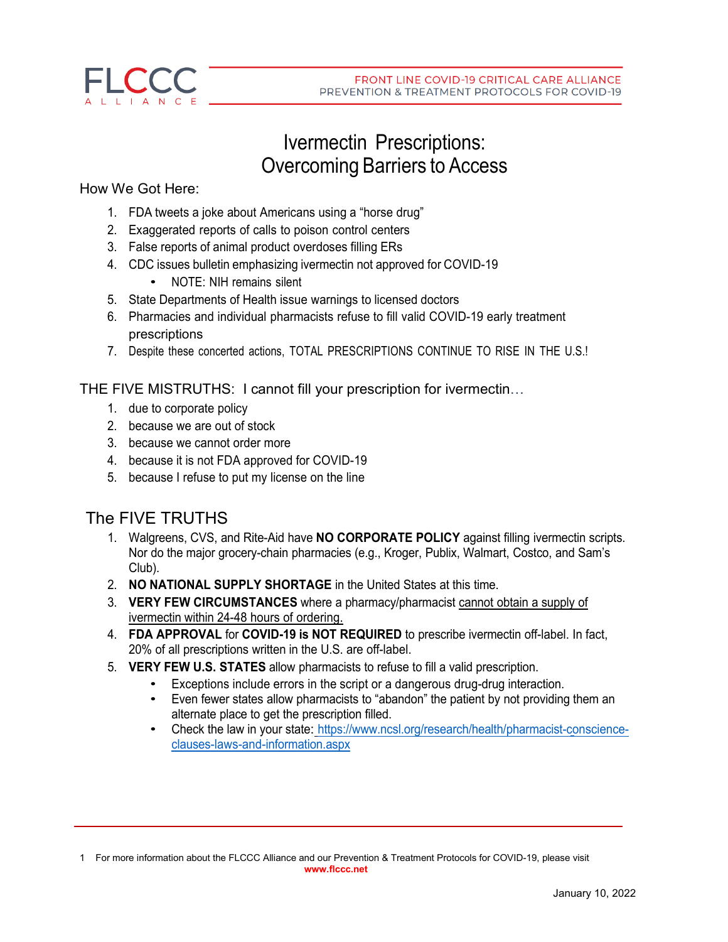

# Ivermectin Prescriptions: Overcoming Barriers to Access

### How We Got Here:

- 1. FDA tweets a joke about Americans using a "horse drug"
- 2. Exaggerated reports of calls to poison control centers
- 3. False reports of animal product overdoses filling ERs
- 4. CDC issues bulletin emphasizing ivermectin not approved for COVID-19
	- NOTE: NIH remains silent
- 5. State Departments of Health issue warnings to licensed doctors
- 6. Pharmacies and individual pharmacists refuse to fill valid COVID-19 early treatment prescriptions
- 7. Despite these concerted actions, TOTAL PRESCRIPTIONS CONTINUE TO RISE IN THE U.S.!

THE FIVE MISTRUTHS: I cannot fill your prescription for ivermectin…

- 1. due to corporate policy
- 2. because we are out of stock
- 3. because we cannot order more
- 4. because it is not FDA approved for COVID-19
- 5. because I refuse to put my license on the line

## The FIVE TRUTHS

- 1. Walgreens, CVS, and Rite-Aid have **NO CORPORATE POLICY** against filling ivermectin scripts. Nor do the major grocery-chain pharmacies (e.g., Kroger, Publix, Walmart, Costco, and Sam's Club).
- 2. **NO NATIONAL SUPPLY SHORTAGE** in the United States at this time.
- 3. **VERY FEW CIRCUMSTANCES** where a pharmacy/pharmacist cannot obtain a supply of ivermectin within 24-48 hours of ordering.
- 4. **FDA APPROVAL** for **COVID-19 is NOT REQUIRED** to prescribe ivermectin off-label. In fact, 20% of all prescriptions written in the U.S. are off-label.
- 5. **VERY FEW U.S. STATES** allow pharmacists to refuse to fill a valid prescription.
	- Exceptions include errors in the script or a dangerous drug-drug interaction.<br>• Even fewer states allow pharmacists to "abandon" the patient by not providing
	- Even fewer states allow pharmacists to "abandon" the patient by not providing them an alternate place to get the prescription filled.
	- Check the law in your state: [https://www.ncsl.org/research/health/pharmacist-conscience](https://www.ncsl.org/research/health/pharmacist-conscience-clauses-laws-and-information.aspx)[clauses-laws-and-information.aspx](https://www.ncsl.org/research/health/pharmacist-conscience-clauses-laws-and-information.aspx)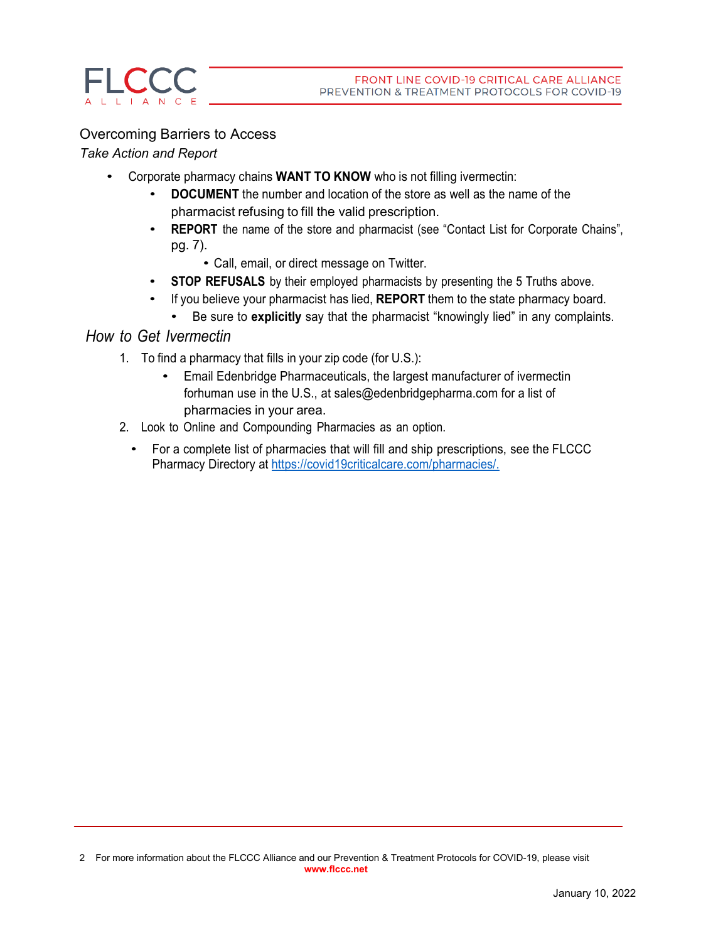### Overcoming Barriers to Access

### *Take Action and Report*

- Corporate pharmacy chains **WANT TO KNOW** who is not filling ivermectin:
	- **DOCUMENT** the number and location of the store as well as the name of the pharmacist refusing to fill the valid prescription.
	- **REPORT** the name of the store and pharmacist (see "Contact List for Corporate Chains", pg. 7).
		- Call, email, or direct message on Twitter.
	- **STOP REFUSALS** by their employed pharmacists by presenting the <sup>5</sup> Truths above.
	- If you believe your pharmacist has lied, **REPORT** them to the state pharmacy board.
		- Be sure to **explicitly** say that the pharmacist "knowingly lied" in any complaints.

### *How to Get Ivermectin*

- 1. To find a pharmacy that fills in your zip code (for U.S.):
	- Email Edenbridge Pharmaceuticals, the largest manufacturer of ivermectin forhuman use in the U.S., at [sales@edenbridgepharma.com](mailto:sales@edenbridgepharma.com) for a list of [pharmacies](mailto:sales@edenbridgepharma.com) in your area.
- 2. Look to Online and Compounding Pharmacies as an option.
	- For a complete list of pharmacies that will fill and ship [prescriptions,](https://covid19criticalcare.com/pharmacies/) see the FLCCC [Pharmacy Directory at](https://covid19criticalcare.com/pharmacies/) [https://covid19criticalcare.com/pharmacies/.](https://covid19criticalcare.com/pharmacies/)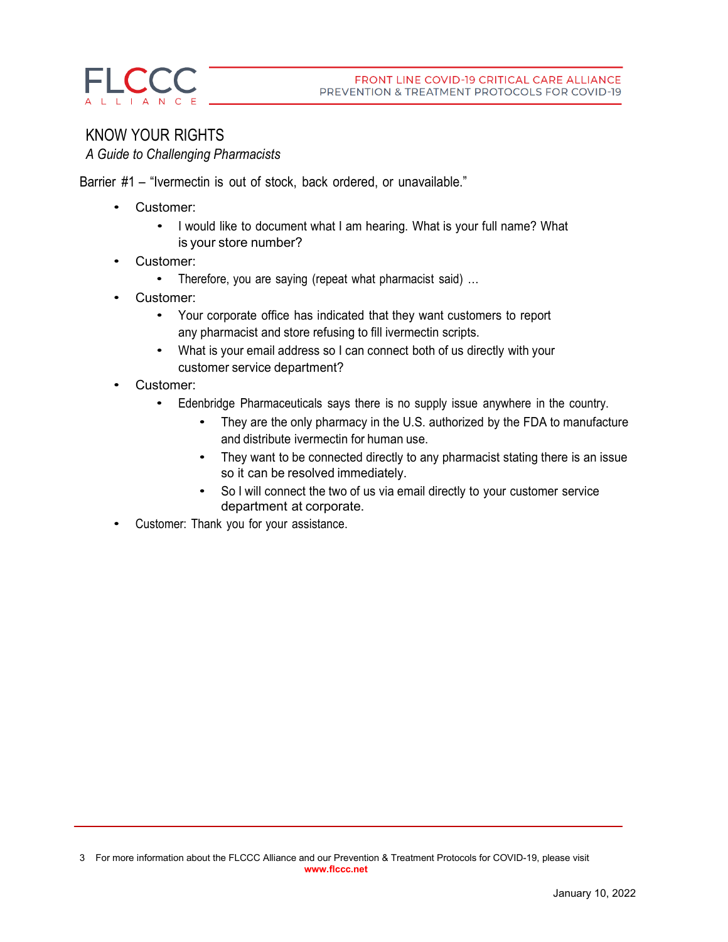

# KNOW YOUR RIGHTS

*A Guide to Challenging Pharmacists*

Barrier #1 – "Ivermectin is out of stock, back ordered, or unavailable."

- Customer:
	- I would like to document what I am hearing. What is your full name? What is your store number?
- Customer:
	- Therefore, you are saying (repeat what pharmacist said) ...
- Customer:
	- Your corporate office has indicated that they want customers to report any pharmacist and store refusing to fill ivermectin scripts.
	- What is your email address so I can connect both of us directly with your customer service department?
- Customer:
	- Edenbridge Pharmaceuticals says there is no supply issue anywhere in the country.
		- They are the only pharmacy in the U.S. authorized by the FDA to manufacture and distribute ivermectin for human use.
		- They want to be connected directly to any pharmacist stating there is an issue so it can be resolved immediately.
		- So I will connect the two of us via email directly to your customer service department at corporate.
- Customer: Thank you for your assistance.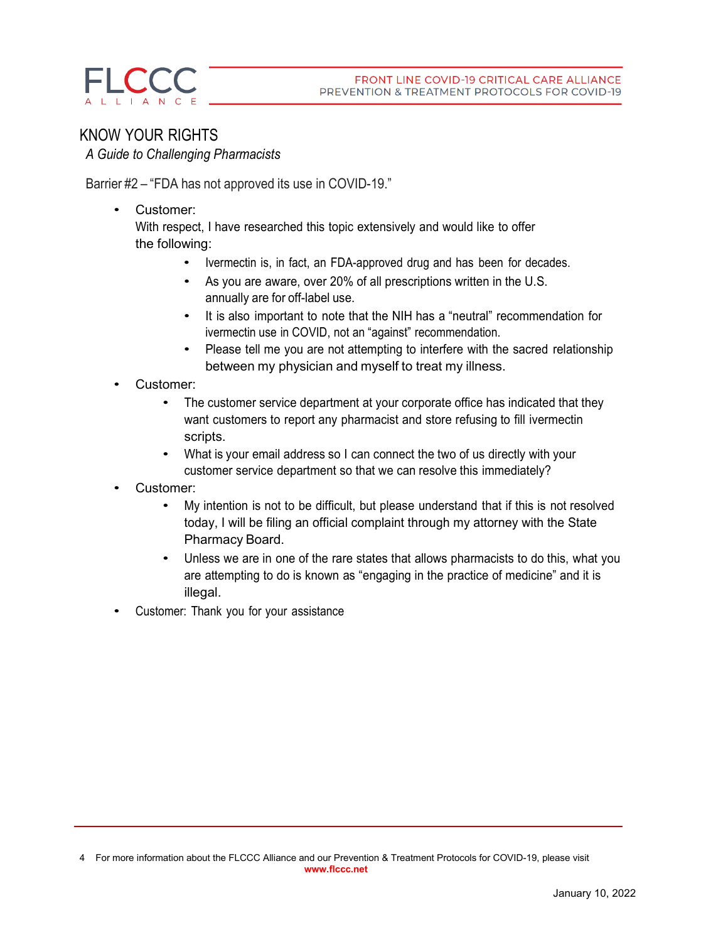

### KNOW YOUR RIGHTS *A Guide to Challenging Pharmacists*

Barrier #2 – "FDA has not approved its use in COVID-19."

• Customer:

With respect, I have researched this topic extensively and would like to offer the following:

- Ivermectin is, in fact, an FDA-approved drug and has been for decades.
- As you are aware, over 20% of all prescriptions written in the U.S. annually are for off-label use.
- It is also important to note that the NIH has a "neutral" recommendation for ivermectin use in COVID, not an "against" recommendation.
- Please tell me you are not attempting to interfere with the sacred relationship between my physician and myself to treat my illness.
- Customer:
	- The customer service department at your corporate office has indicated that they want customers to report any pharmacist and store refusing to fill ivermectin scripts.
	- What is your email address so I can connect the two of us directly with your customer service department so that we can resolve this immediately?
- Customer:
	- My intention is not to be difficult, but please understand that if this is not resolved today, I will be filing an official complaint through my attorney with the State Pharmacy Board.
	- Unless we are in one of the rare states that allows pharmacists to do this, what you are attempting to do is known as "engaging in the practice of medicine" and it is illegal.
- Customer: Thank you for your assistance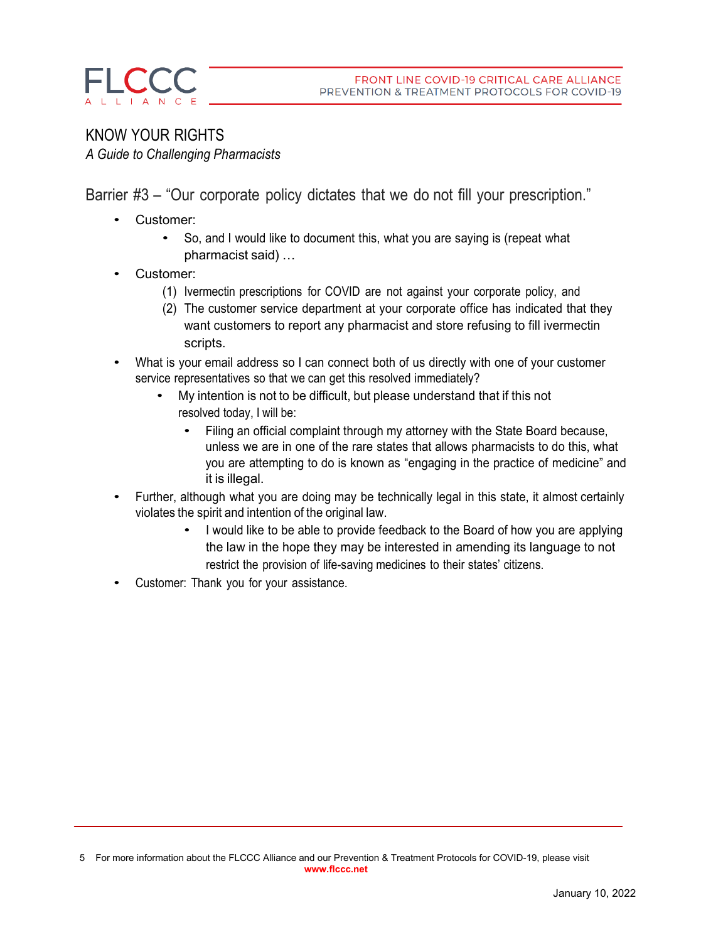### KNOW YOUR RIGHTS *A Guide to Challenging Pharmacists*

Barrier #3 – "Our corporate policy dictates that we do not fill your prescription."

- Customer:
	- So, and I would like to document this, what you are saying is (repeat what pharmacist said) …
- Customer:
	- (1) Ivermectin prescriptions for COVID are not against your corporate policy, and
	- (2) The customer service department at your corporate office has indicated that they want customers to report any pharmacist and store refusing to fill ivermectin scripts.
- What is your email address so I can connect both of us directly with one of your customer service representatives so that we can get this resolved immediately?
	- My intention is not to be difficult, but please understand that if this not resolved today, I will be:
		- Filing an official complaint through my attorney with the State Board because, unless we are in one of the rare states that allows pharmacists to do this, what you are attempting to do is known as "engaging in the practice of medicine" and it is illegal.
- Further, although what you are doing may be technically legal in this state, it almost certainly violates the spirit and intention of the original law.
	- I would like to be able to provide feedback to the Board of how you are applying the law in the hope they may be interested in amending its language to not restrict the provision of life-saving medicines to their states' citizens.
- Customer: Thank you for your assistance.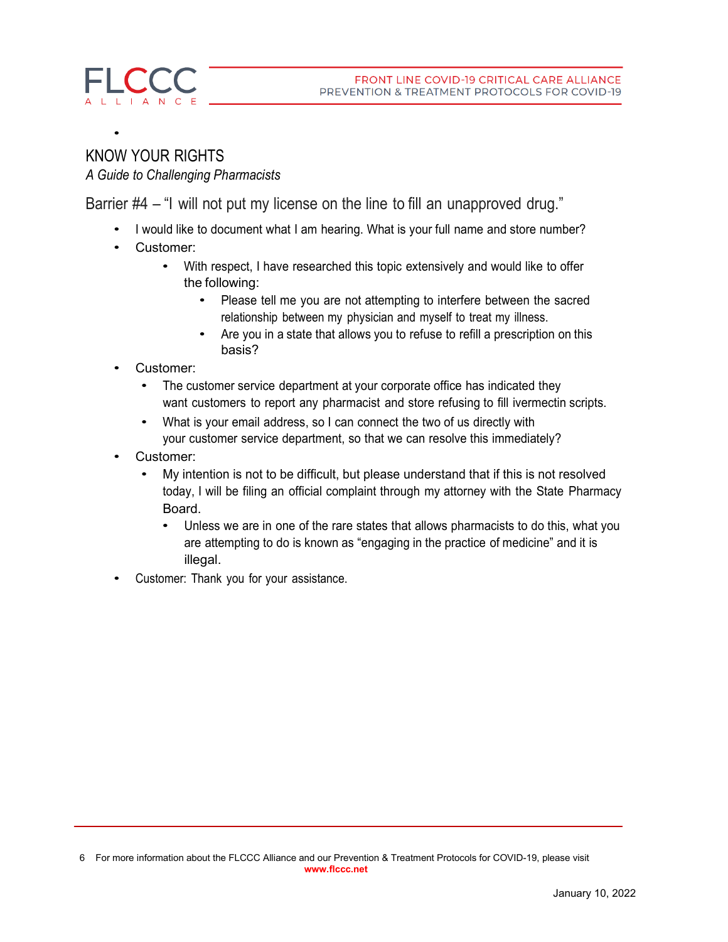

•

### KNOW YOUR RIGHTS *A Guide to Challenging Pharmacists*

Barrier #4 – "I will not put my license on the line to fill an unapproved drug."

- I would like to document what I am hearing. What is your full name and store number?
- Customer:
	- With respect, I have researched this topic extensively and would like to offer the following:
		- Please tell me you are not attempting to interfere between the sacred relationship between my physician and myself to treat my illness.
		- Are you in a state that allows you to refuse to refill a prescription on this basis?
- Customer:
	- The customer service department at your corporate office has indicated they want customers to report any pharmacist and store refusing to fill ivermectin scripts.
	- What is your email address, so I can connect the two of us directly with your customer service department, so that we can resolve this immediately?
- Customer:
	- My intention is not to be difficult, but please understand that if this is not resolved today, I will be filing an official complaint through my attorney with the State Pharmacy Board.
		- Unless we are in one of the rare states that allows pharmacists to do this, what you are attempting to do is known as "engaging in the practice of medicine" and it is illegal.
- Customer: Thank you for your assistance.